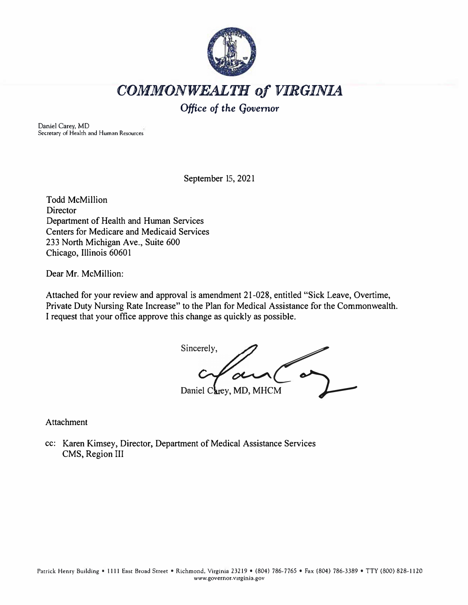

*COMMONWEALTH of VIRGINIA* 

# *Office of the Governor*

Daniel Carey, MD Secretary of Healrh and Human Resources

September 15, 2021

Todd McMillion **Director** Department of Health and Human Services Centers for Medicare and Medicaid Services 233 North Michigan Ave., Suite 600 Chicago, Illinois 60601

Dear Mr. McMillion:

Attached for your review and approval is amendment 21-028, entitled "Sick Leave, Overtime, Private Duty Nursing Rate Increase" to the Plan for Medical Assistance for the Commonwealth. I request that your office approve this change as quickly as possible.

Sincerely,  $\mathscr{D}$ Daniel Carey, MD, MHCM

Attachment

cc: Karen Kimsey, Director, Department of Medical Assistance Services CMS, Region III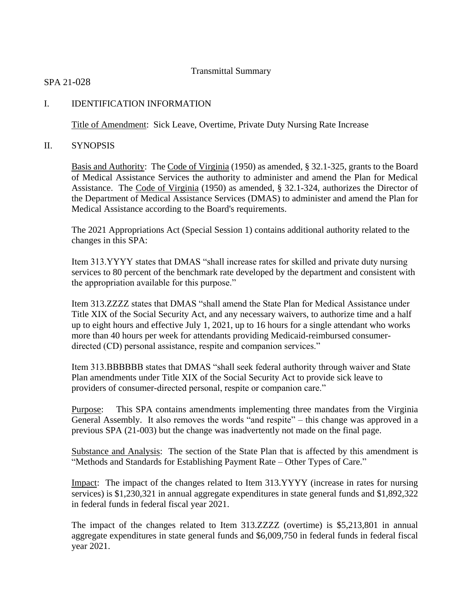### Transmittal Summary

### SPA 21-028

# I. IDENTIFICATION INFORMATION

Title of Amendment: Sick Leave, Overtime, Private Duty Nursing Rate Increase

### II. SYNOPSIS

Basis and Authority: The Code of Virginia (1950) as amended, § 32.1-325, grants to the Board of Medical Assistance Services the authority to administer and amend the Plan for Medical Assistance. The Code of Virginia (1950) as amended, § 32.1-324, authorizes the Director of the Department of Medical Assistance Services (DMAS) to administer and amend the Plan for Medical Assistance according to the Board's requirements.

The 2021 Appropriations Act (Special Session 1) contains additional authority related to the changes in this SPA:

Item 313.YYYY states that DMAS "shall increase rates for skilled and private duty nursing services to 80 percent of the benchmark rate developed by the department and consistent with the appropriation available for this purpose."

Item 313.ZZZZ states that DMAS "shall amend the State Plan for Medical Assistance under Title XIX of the Social Security Act, and any necessary waivers, to authorize time and a half up to eight hours and effective July 1, 2021, up to 16 hours for a single attendant who works more than 40 hours per week for attendants providing Medicaid-reimbursed consumerdirected (CD) personal assistance, respite and companion services."

Item 313.BBBBBB states that DMAS "shall seek federal authority through waiver and State Plan amendments under Title XIX of the Social Security Act to provide sick leave to providers of consumer-directed personal, respite or companion care."

Purpose: This SPA contains amendments implementing three mandates from the Virginia General Assembly. It also removes the words "and respite" – this change was approved in a previous SPA (21-003) but the change was inadvertently not made on the final page.

Substance and Analysis: The section of the State Plan that is affected by this amendment is "Methods and Standards for Establishing Payment Rate – Other Types of Care."

Impact: The impact of the changes related to Item 313.YYYY (increase in rates for nursing services) is \$1,230,321 in annual aggregate expenditures in state general funds and \$1,892,322 in federal funds in federal fiscal year 2021.

The impact of the changes related to Item 313.ZZZZ (overtime) is \$5,213,801 in annual aggregate expenditures in state general funds and \$6,009,750 in federal funds in federal fiscal year 2021.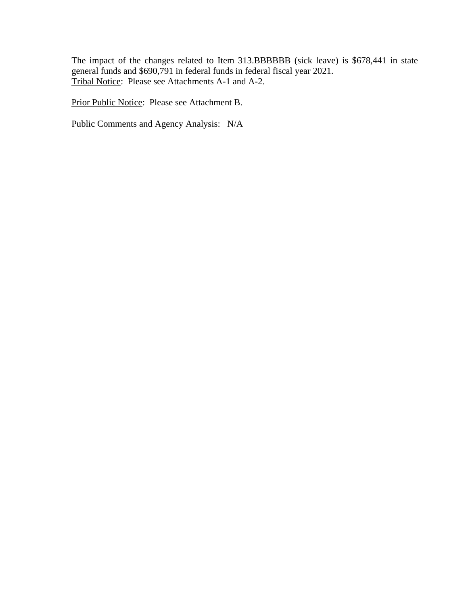The impact of the changes related to Item 313.BBBBBB (sick leave) is \$678,441 in state general funds and \$690,791 in federal funds in federal fiscal year 2021. Tribal Notice: Please see Attachments A-1 and A-2.

Prior Public Notice: Please see Attachment B.

Public Comments and Agency Analysis: N/A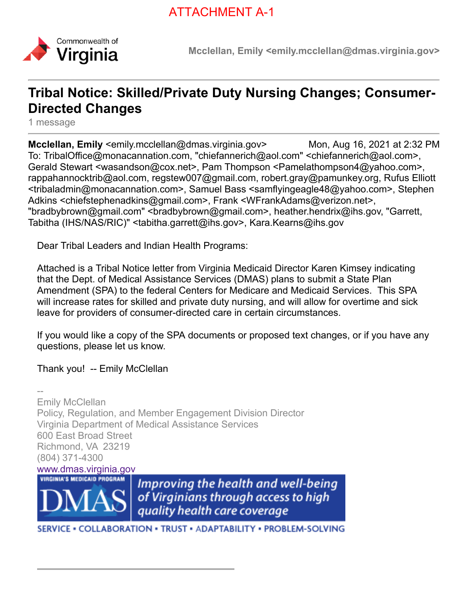

**Mcclellan, Emily <emily.mcclellan@dmas.virginia.gov>**

# **Tribal Notice: Skilled/Private Duty Nursing Changes; Consumer-Directed Changes**

1 message

**Mcclellan, Emily** <emily.mcclellan@dmas.virginia.gov> Mon, Aug 16, 2021 at 2:32 PM To: TribalOffice@monacannation.com, "chiefannerich@aol.com" <chiefannerich@aol.com>, Gerald Stewart <wasandson@cox.net>, Pam Thompson <Pamelathompson4@yahoo.com>, rappahannocktrib@aol.com, regstew007@gmail.com, robert.gray@pamunkey.org, Rufus Elliott <tribaladmin@monacannation.com>, Samuel Bass <samflyingeagle48@yahoo.com>, Stephen Adkins <chiefstephenadkins@gmail.com>, Frank <WFrankAdams@verizon.net>, "bradbybrown@gmail.com" <bradbybrown@gmail.com>, heather.hendrix@ihs.gov, "Garrett, Tabitha (IHS/NAS/RIC)" <tabitha.garrett@ihs.gov>, Kara.Kearns@ihs.gov

Dear Tribal Leaders and Indian Health Programs:

Attached is a Tribal Notice letter from Virginia Medicaid Director Karen Kimsey indicating that the Dept. of Medical Assistance Services (DMAS) plans to submit a State Plan Amendment (SPA) to the federal Centers for Medicare and Medicaid Services. This SPA will increase rates for skilled and private duty nursing, and will allow for overtime and sick leave for providers of consumer-directed care in certain circumstances.

If you would like a copy of the SPA documents or proposed text changes, or if you have any questions, please let us know.

Thank you! -- Emily McClellan

-- Emily McClellan Policy, Regulation, and Member Engagement Division Director Virginia Department of Medical Assistance Services 600 East Broad Street Richmond, VA 23219 (804) 371-4300 [www.dmas.virginia.gov](http://www.dmas.virginia.gov/) **VIRGINIA'S MEDICAID PROGRAM** Improving the health and well-being of Virginians through access to high quality health care coverage

SERVICE . COLLABORATION . TRUST . ADAPTABILITY . PROBLEM-SOLVING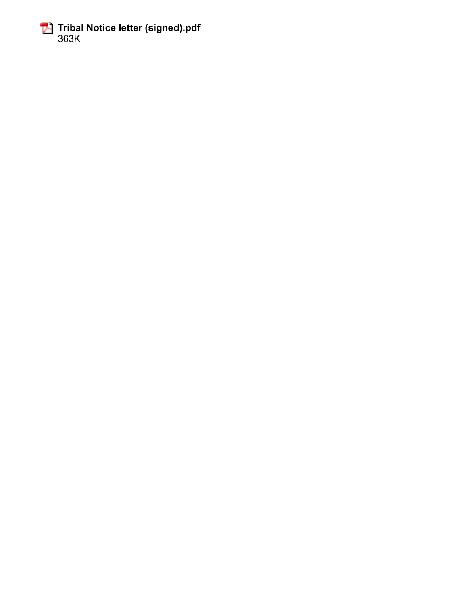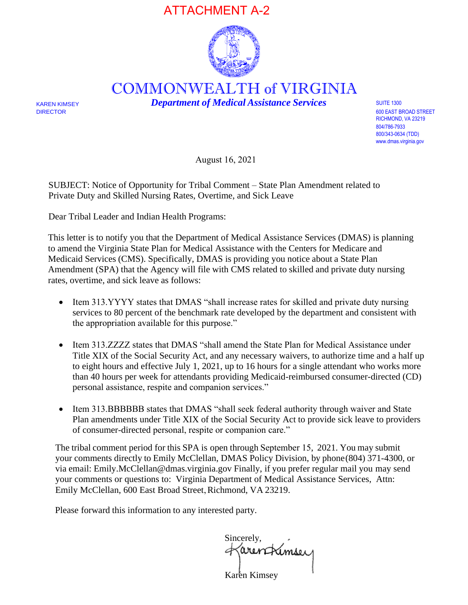# ATTACHMENT A-2



COMMONWEALTH of VIRGINIA

KAREN KIMSEY *Department of Medical Assistance Services* SUITE <sup>1300</sup>

DIRECTOR 600 EAST BROAD STREET RICHMOND, VA 23219 804/786-7933 800/343-0634 (TDD) [www.dmas.virginia.gov](http://www.dmas.virginia.gov/)

August 16, 2021

SUBJECT: Notice of Opportunity for Tribal Comment – State Plan Amendment related to Private Duty and Skilled Nursing Rates, Overtime, and Sick Leave

Dear Tribal Leader and Indian Health Programs:

This letter is to notify you that the Department of Medical Assistance Services (DMAS) is planning to amend the Virginia State Plan for Medical Assistance with the Centers for Medicare and Medicaid Services (CMS). Specifically, DMAS is providing you notice about a State Plan Amendment (SPA) that the Agency will file with CMS related to skilled and private duty nursing rates, overtime, and sick leave as follows:

- Item 313.YYYY states that DMAS "shall increase rates for skilled and private duty nursing services to 80 percent of the benchmark rate developed by the department and consistent with the appropriation available for this purpose."
- Item 313.ZZZZ states that DMAS "shall amend the State Plan for Medical Assistance under Title XIX of the Social Security Act, and any necessary waivers, to authorize time and a half up to eight hours and effective July 1, 2021, up to 16 hours for a single attendant who works more than 40 hours per week for attendants providing Medicaid-reimbursed consumer-directed (CD) personal assistance, respite and companion services."
- Item 313.BBBBBB states that DMAS "shall seek federal authority through waiver and State Plan amendments under Title XIX of the Social Security Act to provide sick leave to providers of consumer-directed personal, respite or companion care."

The tribal comment period for this SPA is open through September 15, 2021. You may submit your comments directly to Emily McClellan, DMAS Policy Division, by phone (804) 371-4300, or via email: Emily.McClellan@dmas.virginia.gov Finally, if you prefer regular mail you may send your comments or questions to: Virginia Department of Medical Assistance Services, Attn: Emily McClellan, 600 East Broad Street , Richmond, VA 23219.

Please forward this information to any interested party.

Sincerely,<br>Karentkimser

Karen Kimsey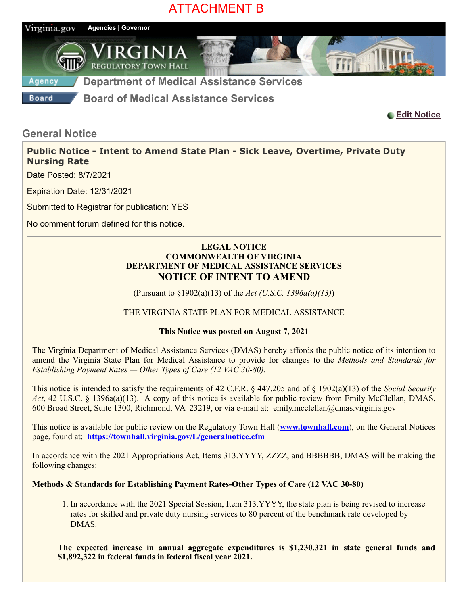# ATTACHMENT B



**[Edit Notice](https://townhall.virginia.gov/L/EditNotice.cfm?GNid=1303)**

# **General Notice**

## **Public Notice - Intent to Amend State Plan - Sick Leave, Overtime, Private Duty Nursing Rate**

Date Posted: 8/7/2021

Expiration Date: 12/31/2021

Submitted to Registrar for publication: YES

No comment forum defined for this notice.

#### **LEGAL NOTICE COMMONWEALTH OF VIRGINIA DEPARTMENT OF MEDICAL ASSISTANCE SERVICES NOTICE OF INTENT TO AMEND**

(Pursuant to §1902(a)(13) of the *Act (U.S.C. 1396a(a)(13)*)

## THE VIRGINIA STATE PLAN FOR MEDICAL ASSISTANCE

#### **This Notice was posted on August 7, 2021**

The Virginia Department of Medical Assistance Services (DMAS) hereby affords the public notice of its intention to amend the Virginia State Plan for Medical Assistance to provide for changes to the *Methods and Standards for Establishing Payment Rates — Other Types of Care (12 VAC 30-80)*.

This notice is intended to satisfy the requirements of 42 C.F.R. § 447.205 and of § 1902(a)(13) of the *Social Security Act*, 42 U.S.C. § 1396a(a)(13). A copy of this notice is available for public review from Emily McClellan, DMAS, 600 Broad Street, Suite 1300, Richmond, VA 23219, or via e-mail at: emily.mcclellan@dmas.virginia.gov

This notice is available for public review on the Regulatory Town Hall (**[www.townhall.com](http://www.townhall.com/)**), on the General Notices page, found at: **<https://townhall.virginia.gov/L/generalnotice.cfm>**

In accordance with the 2021 Appropriations Act, Items 313.YYYY, ZZZZ, and BBBBBB, DMAS will be making the following changes:

#### **Methods & Standards for Establishing Payment Rates-Other Types of Care (12 VAC 30-80)**

1. In accordance with the 2021 Special Session, Item 313.YYYY, the state plan is being revised to increase rates for skilled and private duty nursing services to 80 percent of the benchmark rate developed by DMAS.

**The expected increase in annual aggregate expenditures is \$1,230,321 in state general funds and \$1,892,322 in federal funds in federal fiscal year 2021.**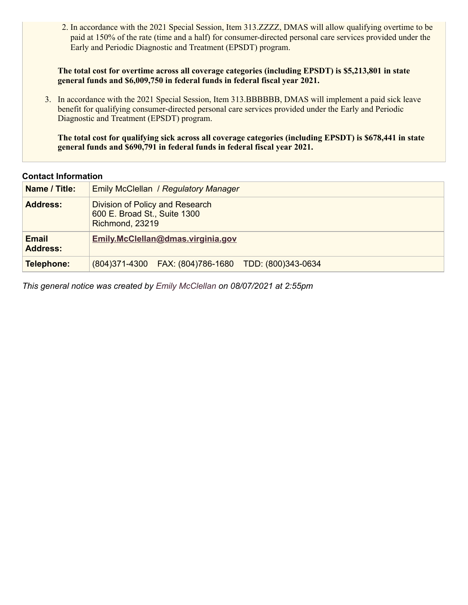2. In accordance with the 2021 Special Session, Item 313.ZZZZ, DMAS will allow qualifying overtime to be paid at 150% of the rate (time and a half) for consumer-directed personal care services provided under the Early and Periodic Diagnostic and Treatment (EPSDT) program.

**The total cost for overtime across all coverage categories (including EPSDT) is \$5,213,801 in state general funds and \$6,009,750 in federal funds in federal fiscal year 2021.**

3. In accordance with the 2021 Special Session, Item 313.BBBBBB, DMAS will implement a paid sick leave benefit for qualifying consumer-directed personal care services provided under the Early and Periodic Diagnostic and Treatment (EPSDT) program.

**The total cost for qualifying sick across all coverage categories (including EPSDT) is \$678,441 in state general funds and \$690,791 in federal funds in federal fiscal year 2021.**

#### **Contact Information**

| Name / Title:                   | <b>Emily McClellan / Regulatory Manager</b>                                        |
|---------------------------------|------------------------------------------------------------------------------------|
| <b>Address:</b>                 | Division of Policy and Research<br>600 E. Broad St., Suite 1300<br>Richmond, 23219 |
| <b>Email</b><br><b>Address:</b> | Emily.McClellan@dmas.virginia.gov                                                  |
| Telephone:                      | (804) 371-4300 FAX: (804) 786-1680<br>TDD: (800)343-0634                           |

*This general notice was created by Emily McClellan on 08/07/2021 at 2:55pm*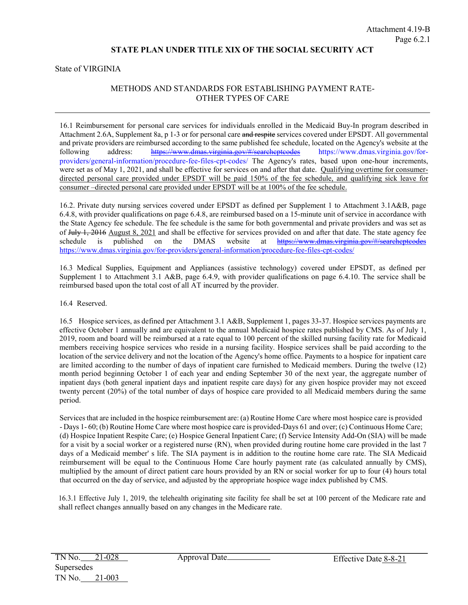#### **STATE PLAN UNDER TITLE XIX OF THE SOCIAL SECURITY ACT**

State of VIRGINIA

#### METHODS AND STANDARDS FOR ESTABLISHING PAYMENT RATE-OTHER TYPES OF CARE

16.1 Reimbursement for personal care services for individuals enrolled in the Medicaid Buy-In program described in Attachment 2.6A, Supplement 8a, p 1-3 or for personal care and respite services covered under EPSDT. All governmental and private providers are reimbursed according to the same published fee schedule, located on the Agency's website at the following address: [https://www.dmas](http://www.dmas.virginia.gov/).virginia.gov/#/searchcptcodes https://www.dmas.virginia.gov/forproviders/general-information/procedure-fee-files-cpt-codes/ The Agency's rates, based upon one-hour increments, were set as of May 1, 2021, and shall be effective for services on and after that date. Qualifying overtime for consumerdirected personal care provided under EPSDT will be paid 150% of the fee schedule, and qualifying sick leave for consumer –directed personal care provided under EPSDT will be at 100% of the fee schedule.

16.2. Private duty nursing services covered under EPSDT as defined per Supplement 1 to Attachment 3.1A&B, page 6.4.8, with provider qualifications on page 6.4.8, are reimbursed based on a 15-minute unit of service in accordance with the State Agency fee schedule. The fee schedule is the same for both governmental and private providers and was set as of  $July$  1, 2016 August 8, 2021 and shall be effective for services provided on and after that date. The state agency fee schedule is published on the DMAS website at https://w[ww.dmas.virginia.gov/#/searchcp](http://www.dmas.virginia.gov/)tcodes https://www.dmas.virginia.gov/for-providers/general-information/procedure-fee-files-cpt-codes/

16.3 Medical Supplies, Equipment and Appliances (assistive technology) covered under EPSDT, as defined per Supplement 1 to Attachment 3.1 A&B, page 6.4.9, with provider qualifications on page 6.4.10. The service shall be reimbursed based upon the total cost of all AT incurred by the provider.

16.4 Reserved.

16.5 Hospice services, as defined per Attachment 3.1 A&B, Supplement 1, pages 33-37. Hospice services payments are effective October 1 annually and are equivalent to the annual Medicaid hospice rates published by CMS. As of July 1, 2019, room and board will be reimbursed at a rate equal to 100 percent of the skilled nursing facility rate for Medicaid members receiving hospice services who reside in a nursing facility. Hospice services shall be paid according to the location of the service delivery and not the location of the Agency's home office. Payments to a hospice for inpatient care are limited according to the number of days of inpatient care furnished to Medicaid members. During the twelve (12) month period beginning October 1 of each year and ending September 30 of the next year, the aggregate number of inpatient days (both general inpatient days and inpatient respite care days) for any given hospice provider may not exceed twenty percent (20%) of the total number of days of hospice care provided to all Medicaid members during the same period.

Servicesthat are included in the hospice reimbursement are: (a) Routine Home Care where most hospice care is provided - Days 1- 60; (b) Routine Home Care where most hospice care is provided-Days 61 and over; (c) Continuous Home Care; (d) Hospice Inpatient Respite Care; (e) Hospice General Inpatient Care; (f) Service Intensity Add-On (SIA) will be made for a visit by a social worker or a registered nurse (RN), when provided during routine home care provided in the last 7 days of a Medicaid member' s life. The SIA payment is in addition to the routine home care rate. The SIA Medicaid reimbursement will be equal to the Continuous Home Care hourly payment rate (as calculated annually by CMS), multiplied by the amount of direct patient care hours provided by an RN or social worker for up to four (4) hours total that occurred on the day of service, and adjusted by the appropriate hospice wage index published by CMS.

16.3.1 Effective July 1, 2019, the telehealth originating site facility fee shall be set at 100 percent of the Medicare rate and shall reflect changes annually based on any changes in the Medicare rate.